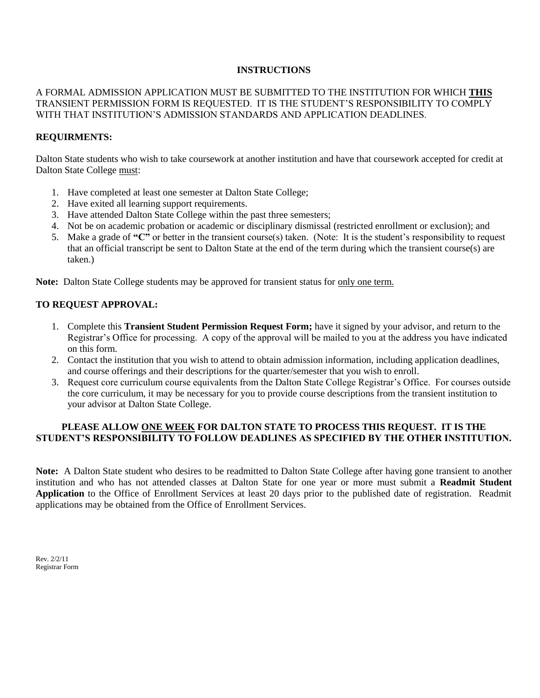## **INSTRUCTIONS**

## A FORMAL ADMISSION APPLICATION MUST BE SUBMITTED TO THE INSTITUTION FOR WHICH **THIS** TRANSIENT PERMISSION FORM IS REQUESTED. IT IS THE STUDENT'S RESPONSIBILITY TO COMPLY WITH THAT INSTITUTION'S ADMISSION STANDARDS AND APPLICATION DEADLINES.

## **REQUIRMENTS:**

Dalton State students who wish to take coursework at another institution and have that coursework accepted for credit at Dalton State College must:

- 1. Have completed at least one semester at Dalton State College;
- 2. Have exited all learning support requirements.
- 3. Have attended Dalton State College within the past three semesters;
- 4. Not be on academic probation or academic or disciplinary dismissal (restricted enrollment or exclusion); and
- 5. Make a grade of **"C"** or better in the transient course(s) taken. (Note: It is the student's responsibility to request that an official transcript be sent to Dalton State at the end of the term during which the transient course(s) are taken.)

**Note:** Dalton State College students may be approved for transient status for only one term.

## **TO REQUEST APPROVAL:**

- 1. Complete this **Transient Student Permission Request Form;** have it signed by your advisor, and return to the Registrar's Office for processing. A copy of the approval will be mailed to you at the address you have indicated on this form.
- 2. Contact the institution that you wish to attend to obtain admission information, including application deadlines, and course offerings and their descriptions for the quarter/semester that you wish to enroll.
- 3. Request core curriculum course equivalents from the Dalton State College Registrar's Office. For courses outside the core curriculum, it may be necessary for you to provide course descriptions from the transient institution to your advisor at Dalton State College.

# **PLEASE ALLOW ONE WEEK FOR DALTON STATE TO PROCESS THIS REQUEST. IT IS THE STUDENT'S RESPONSIBILITY TO FOLLOW DEADLINES AS SPECIFIED BY THE OTHER INSTITUTION.**

**Note:** A Dalton State student who desires to be readmitted to Dalton State College after having gone transient to another institution and who has not attended classes at Dalton State for one year or more must submit a **Readmit Student Application** to the Office of Enrollment Services at least 20 days prior to the published date of registration. Readmit applications may be obtained from the Office of Enrollment Services.